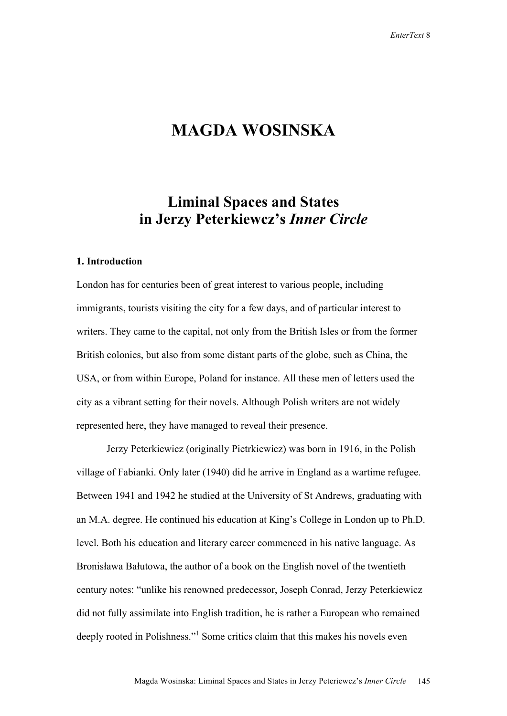# **MAGDA WOSINSKA**

# **Liminal Spaces and States in Jerzy Peterkiewcz's** *Inner Circle*

#### **1. Introduction**

London has for centuries been of great interest to various people, including immigrants, tourists visiting the city for a few days, and of particular interest to writers. They came to the capital, not only from the British Isles or from the former British colonies, but also from some distant parts of the globe, such as China, the USA, or from within Europe, Poland for instance. All these men of letters used the city as a vibrant setting for their novels. Although Polish writers are not widely represented here, they have managed to reveal their presence.

Jerzy Peterkiewicz (originally Pietrkiewicz) was born in 1916, in the Polish village of Fabianki. Only later (1940) did he arrive in England as a wartime refugee. Between 1941 and 1942 he studied at the University of St Andrews, graduating with an M.A. degree. He continued his education at King's College in London up to Ph.D. level. Both his education and literary career commenced in his native language. As Bronisława Bałutowa, the author of a book on the English novel of the twentieth century notes: "unlike his renowned predecessor, Joseph Conrad, Jerzy Peterkiewicz did not fully assimilate into English tradition, he is rather a European who remained deeply rooted in Polishness."<sup>1</sup> Some critics claim that this makes his novels even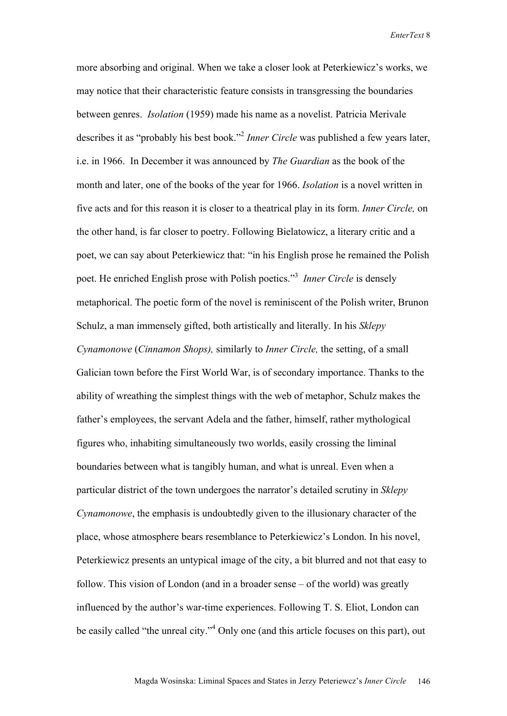more absorbing and original. When we take a closer look at Peterkiewicz's works, we may notice that their characteristic feature consists in transgressing the boundaries between genres. *Isolation* (1959) made his name as a novelist. Patricia Merivale describes it as "probably his best book."2 *Inner Circle* was published a few years later, i.e. in 1966. In December it was announced by *The Guardian* as the book of the month and later, one of the books of the year for 1966. *Isolation* is a novel written in five acts and for this reason it is closer to a theatrical play in its form. *Inner Circle,* on the other hand, is far closer to poetry. Following Bielatowicz, a literary critic and a poet, we can say about Peterkiewicz that: "in his English prose he remained the Polish poet. He enriched English prose with Polish poetics."<sup>3</sup> Inner Circle is densely metaphorical. The poetic form of the novel is reminiscent of the Polish writer, Brunon Schulz, a man immensely gifted, both artistically and literally. In his *Sklepy Cynamonowe* (*Cinnamon Shops),* similarly to *Inner Circle,* the setting, of a small Galician town before the First World War, is of secondary importance. Thanks to the ability of wreathing the simplest things with the web of metaphor, Schulz makes the father's employees, the servant Adela and the father, himself, rather mythological figures who, inhabiting simultaneously two worlds, easily crossing the liminal boundaries between what is tangibly human, and what is unreal. Even when a particular district of the town undergoes the narrator's detailed scrutiny in *Sklepy Cynamonowe*, the emphasis is undoubtedly given to the illusionary character of the place, whose atmosphere bears resemblance to Peterkiewicz's London. In his novel, Peterkiewicz presents an untypical image of the city, a bit blurred and not that easy to follow. This vision of London (and in a broader sense – of the world) was greatly influenced by the author's war-time experiences. Following T. S. Eliot, London can be easily called "the unreal city."<sup>4</sup> Only one (and this article focuses on this part), out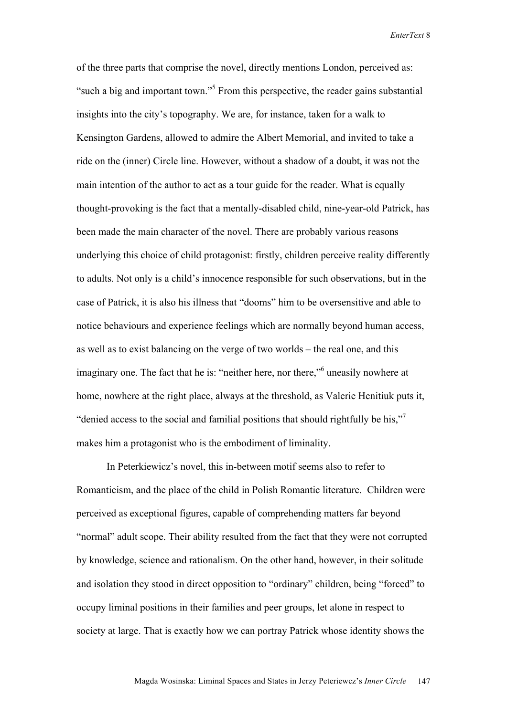of the three parts that comprise the novel, directly mentions London, perceived as: "such a big and important town."<sup>5</sup> From this perspective, the reader gains substantial insights into the city's topography. We are, for instance, taken for a walk to Kensington Gardens, allowed to admire the Albert Memorial, and invited to take a ride on the (inner) Circle line. However, without a shadow of a doubt, it was not the main intention of the author to act as a tour guide for the reader. What is equally thought-provoking is the fact that a mentally-disabled child, nine-year-old Patrick, has been made the main character of the novel. There are probably various reasons underlying this choice of child protagonist: firstly, children perceive reality differently to adults. Not only is a child's innocence responsible for such observations, but in the case of Patrick, it is also his illness that "dooms" him to be oversensitive and able to notice behaviours and experience feelings which are normally beyond human access, as well as to exist balancing on the verge of two worlds – the real one, and this imaginary one. The fact that he is: "neither here, nor there," uneasily nowhere at home, nowhere at the right place, always at the threshold, as Valerie Henitiuk puts it, "denied access to the social and familial positions that should rightfully be his,"7 makes him a protagonist who is the embodiment of liminality.

In Peterkiewicz's novel, this in-between motif seems also to refer to Romanticism, and the place of the child in Polish Romantic literature. Children were perceived as exceptional figures, capable of comprehending matters far beyond "normal" adult scope. Their ability resulted from the fact that they were not corrupted by knowledge, science and rationalism. On the other hand, however, in their solitude and isolation they stood in direct opposition to "ordinary" children, being "forced" to occupy liminal positions in their families and peer groups, let alone in respect to society at large. That is exactly how we can portray Patrick whose identity shows the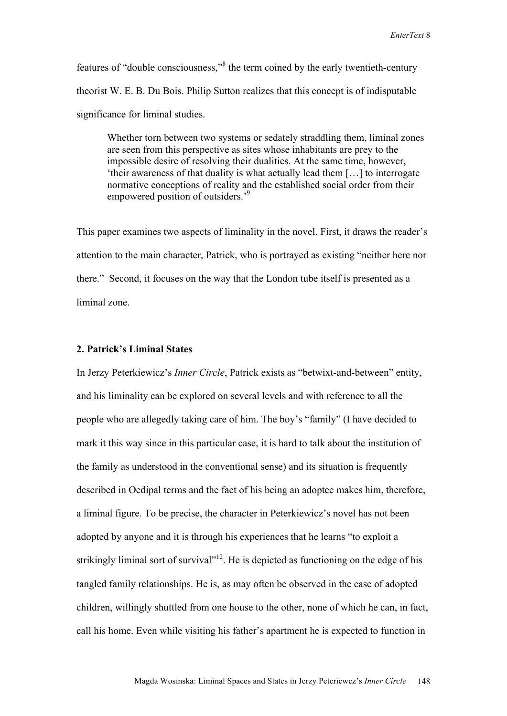features of "double consciousness,"<sup>8</sup> the term coined by the early twentieth-century theorist W. E. B. Du Bois. Philip Sutton realizes that this concept is of indisputable significance for liminal studies.

Whether torn between two systems or sedately straddling them, liminal zones are seen from this perspective as sites whose inhabitants are prey to the impossible desire of resolving their dualities. At the same time, however, 'their awareness of that duality is what actually lead them […] to interrogate normative conceptions of reality and the established social order from their empowered position of outsiders.<sup>9</sup>

This paper examines two aspects of liminality in the novel. First, it draws the reader's attention to the main character, Patrick, who is portrayed as existing "neither here nor there." Second, it focuses on the way that the London tube itself is presented as a liminal zone.

### **2. Patrick's Liminal States**

In Jerzy Peterkiewicz's *Inner Circle*, Patrick exists as "betwixt-and-between" entity, and his liminality can be explored on several levels and with reference to all the people who are allegedly taking care of him. The boy's "family" (I have decided to mark it this way since in this particular case, it is hard to talk about the institution of the family as understood in the conventional sense) and its situation is frequently described in Oedipal terms and the fact of his being an adoptee makes him, therefore, a liminal figure. To be precise, the character in Peterkiewicz's novel has not been adopted by anyone and it is through his experiences that he learns "to exploit a strikingly liminal sort of survival"<sup>12</sup>. He is depicted as functioning on the edge of his tangled family relationships. He is, as may often be observed in the case of adopted children, willingly shuttled from one house to the other, none of which he can, in fact, call his home. Even while visiting his father's apartment he is expected to function in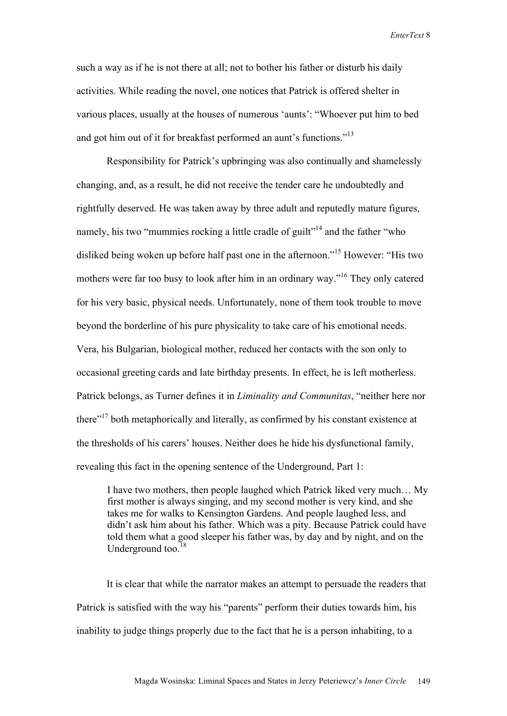such a way as if he is not there at all; not to bother his father or disturb his daily activities. While reading the novel, one notices that Patrick is offered shelter in various places, usually at the houses of numerous 'aunts': "Whoever put him to bed and got him out of it for breakfast performed an aunt's functions."<sup>13</sup>

Responsibility for Patrick's upbringing was also continually and shamelessly changing, and, as a result, he did not receive the tender care he undoubtedly and rightfully deserved. He was taken away by three adult and reputedly mature figures, namely, his two "mummies rocking a little cradle of guilt"<sup>14</sup> and the father "who disliked being woken up before half past one in the afternoon."<sup>15</sup> However: "His two mothers were far too busy to look after him in an ordinary way."16 They only catered for his very basic, physical needs. Unfortunately, none of them took trouble to move beyond the borderline of his pure physicality to take care of his emotional needs. Vera, his Bulgarian, biological mother, reduced her contacts with the son only to occasional greeting cards and late birthday presents. In effect, he is left motherless. Patrick belongs, as Turner defines it in *Liminality and Communitas*, "neither here nor there"17 both metaphorically and literally, as confirmed by his constant existence at the thresholds of his carers' houses. Neither does he hide his dysfunctional family, revealing this fact in the opening sentence of the Underground, Part 1:

I have two mothers, then people laughed which Patrick liked very much… My first mother is always singing, and my second mother is very kind, and she takes me for walks to Kensington Gardens. And people laughed less, and didn't ask him about his father. Which was a pity. Because Patrick could have told them what a good sleeper his father was, by day and by night, and on the Underground too. $18$ 

It is clear that while the narrator makes an attempt to persuade the readers that Patrick is satisfied with the way his "parents" perform their duties towards him, his inability to judge things properly due to the fact that he is a person inhabiting, to a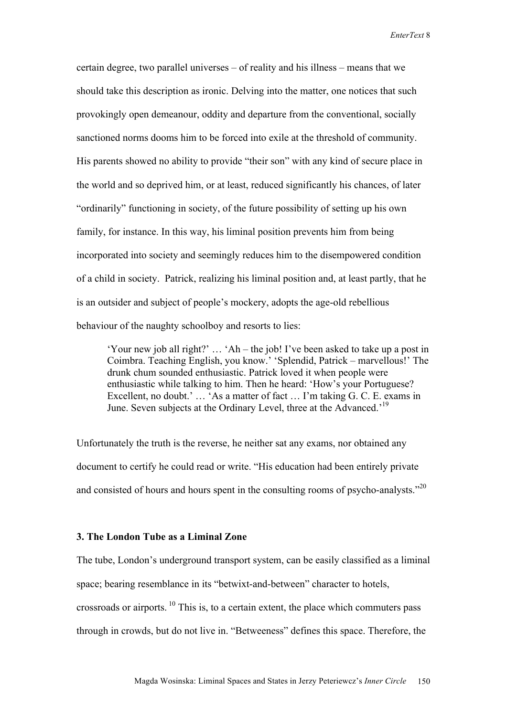certain degree, two parallel universes – of reality and his illness – means that we should take this description as ironic. Delving into the matter, one notices that such provokingly open demeanour, oddity and departure from the conventional, socially sanctioned norms dooms him to be forced into exile at the threshold of community. His parents showed no ability to provide "their son" with any kind of secure place in the world and so deprived him, or at least, reduced significantly his chances, of later "ordinarily" functioning in society, of the future possibility of setting up his own family, for instance. In this way, his liminal position prevents him from being incorporated into society and seemingly reduces him to the disempowered condition of a child in society. Patrick, realizing his liminal position and, at least partly, that he is an outsider and subject of people's mockery, adopts the age-old rebellious behaviour of the naughty schoolboy and resorts to lies:

'Your new job all right?' … 'Ah – the job! I've been asked to take up a post in Coimbra. Teaching English, you know.' 'Splendid, Patrick – marvellous!' The drunk chum sounded enthusiastic. Patrick loved it when people were enthusiastic while talking to him. Then he heard: 'How's your Portuguese? Excellent, no doubt.' … 'As a matter of fact … I'm taking G. C. E. exams in June. Seven subjects at the Ordinary Level, three at the Advanced.'19

Unfortunately the truth is the reverse, he neither sat any exams, nor obtained any document to certify he could read or write. "His education had been entirely private and consisted of hours and hours spent in the consulting rooms of psycho-analysts."20

## **3. The London Tube as a Liminal Zone**

The tube, London's underground transport system, can be easily classified as a liminal space; bearing resemblance in its "betwixt-and-between" character to hotels, crossroads or airports. 10 This is, to a certain extent, the place which commuters pass through in crowds, but do not live in. "Betweeness" defines this space. Therefore, the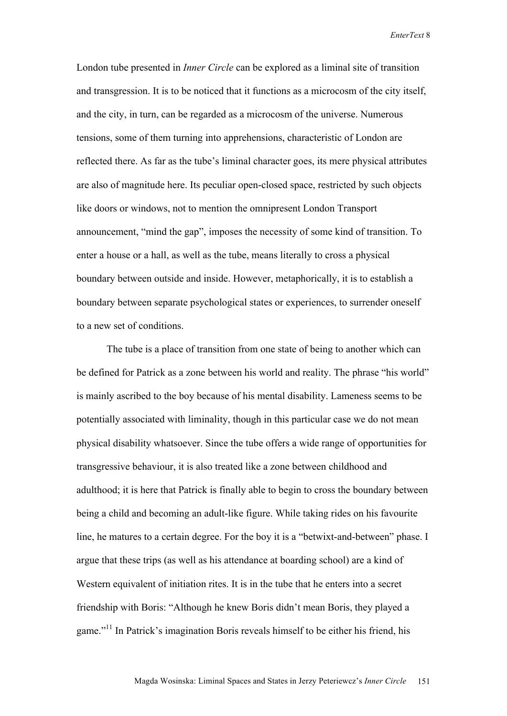London tube presented in *Inner Circle* can be explored as a liminal site of transition and transgression. It is to be noticed that it functions as a microcosm of the city itself, and the city, in turn, can be regarded as a microcosm of the universe. Numerous tensions, some of them turning into apprehensions, characteristic of London are reflected there. As far as the tube's liminal character goes, its mere physical attributes are also of magnitude here. Its peculiar open-closed space, restricted by such objects like doors or windows, not to mention the omnipresent London Transport announcement, "mind the gap", imposes the necessity of some kind of transition. To enter a house or a hall, as well as the tube, means literally to cross a physical boundary between outside and inside. However, metaphorically, it is to establish a boundary between separate psychological states or experiences, to surrender oneself to a new set of conditions.

The tube is a place of transition from one state of being to another which can be defined for Patrick as a zone between his world and reality. The phrase "his world" is mainly ascribed to the boy because of his mental disability. Lameness seems to be potentially associated with liminality, though in this particular case we do not mean physical disability whatsoever. Since the tube offers a wide range of opportunities for transgressive behaviour, it is also treated like a zone between childhood and adulthood; it is here that Patrick is finally able to begin to cross the boundary between being a child and becoming an adult-like figure. While taking rides on his favourite line, he matures to a certain degree. For the boy it is a "betwixt-and-between" phase. I argue that these trips (as well as his attendance at boarding school) are a kind of Western equivalent of initiation rites. It is in the tube that he enters into a secret friendship with Boris: "Although he knew Boris didn't mean Boris, they played a game."11 In Patrick's imagination Boris reveals himself to be either his friend, his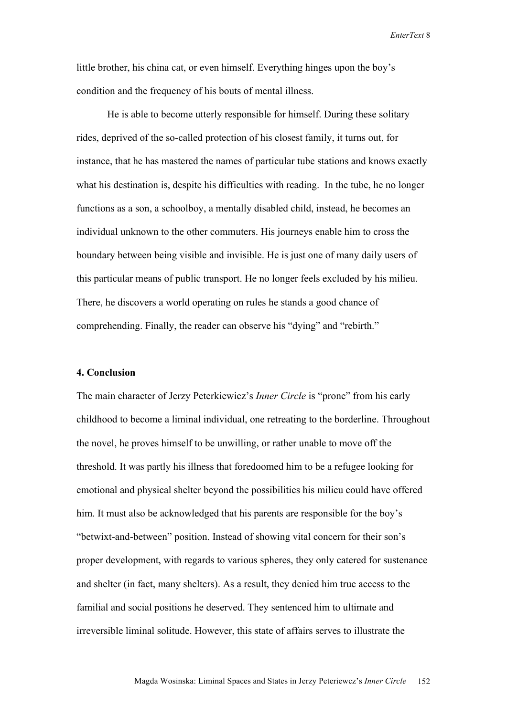little brother, his china cat, or even himself. Everything hinges upon the boy's condition and the frequency of his bouts of mental illness.

He is able to become utterly responsible for himself. During these solitary rides, deprived of the so-called protection of his closest family, it turns out, for instance, that he has mastered the names of particular tube stations and knows exactly what his destination is, despite his difficulties with reading. In the tube, he no longer functions as a son, a schoolboy, a mentally disabled child, instead, he becomes an individual unknown to the other commuters. His journeys enable him to cross the boundary between being visible and invisible. He is just one of many daily users of this particular means of public transport. He no longer feels excluded by his milieu. There, he discovers a world operating on rules he stands a good chance of comprehending. Finally, the reader can observe his "dying" and "rebirth."

### **4. Conclusion**

The main character of Jerzy Peterkiewicz's *Inner Circle* is "prone" from his early childhood to become a liminal individual, one retreating to the borderline. Throughout the novel, he proves himself to be unwilling, or rather unable to move off the threshold. It was partly his illness that foredoomed him to be a refugee looking for emotional and physical shelter beyond the possibilities his milieu could have offered him. It must also be acknowledged that his parents are responsible for the boy's "betwixt-and-between" position. Instead of showing vital concern for their son's proper development, with regards to various spheres, they only catered for sustenance and shelter (in fact, many shelters). As a result, they denied him true access to the familial and social positions he deserved. They sentenced him to ultimate and irreversible liminal solitude. However, this state of affairs serves to illustrate the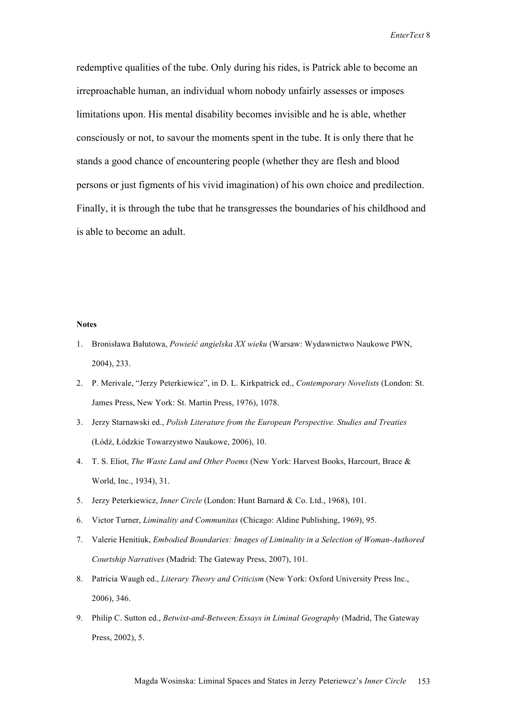redemptive qualities of the tube. Only during his rides, is Patrick able to become an irreproachable human, an individual whom nobody unfairly assesses or imposes limitations upon. His mental disability becomes invisible and he is able, whether consciously or not, to savour the moments spent in the tube. It is only there that he stands a good chance of encountering people (whether they are flesh and blood persons or just figments of his vivid imagination) of his own choice and predilection. Finally, it is through the tube that he transgresses the boundaries of his childhood and is able to become an adult.

#### **Notes**

- 1. Bronisława Bałutowa, *Powieść angielska XX wieku* (Warsaw: Wydawnictwo Naukowe PWN, 2004), 233.
- 2. P. Merivale, "Jerzy Peterkiewicz", in D. L. Kirkpatrick ed., *Contemporary Novelists* (London: St. James Press, New York: St. Martin Press, 1976), 1078.
- 3. Jerzy Starnawski ed., *Polish Literature from the European Perspective. Studies and Treaties* (Łódź, Łódzkie Towarzystwo Naukowe, 2006), 10.
- 4. T. S. Eliot, *The Waste Land and Other Poems* (New York: Harvest Books, Harcourt, Brace & World, Inc., 1934), 31.
- 5. Jerzy Peterkiewicz, *Inner Circle* (London: Hunt Barnard & Co. Ltd., 1968), 101.
- 6. Victor Turner, *Liminality and Communitas* (Chicago: Aldine Publishing, 1969), 95.
- 7. Valerie Henitiuk, *Embodied Boundaries: Images of Liminality in a Selection of Woman-Authored Courtship Narratives* (Madrid: The Gateway Press, 2007), 101.
- 8. Patricia Waugh ed., *Literary Theory and Criticism* (New York: Oxford University Press Inc., 2006), 346.
- 9. Philip C. Sutton ed., *Betwixt-and-Between:Essays in Liminal Geography* (Madrid, The Gateway Press, 2002), 5.